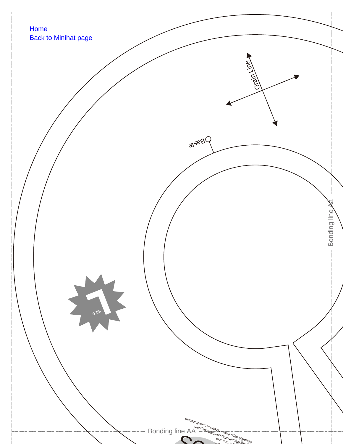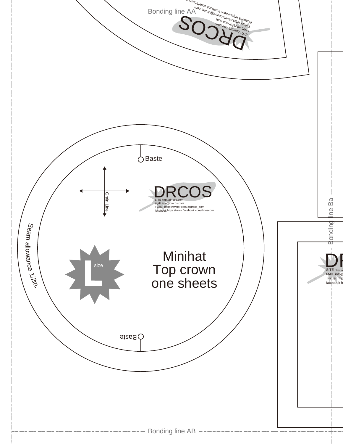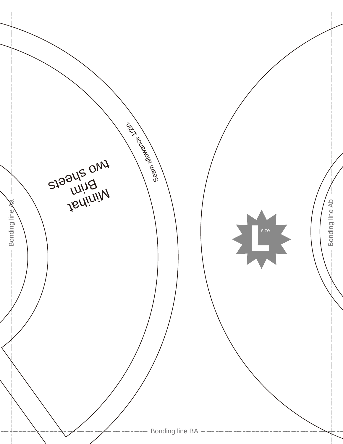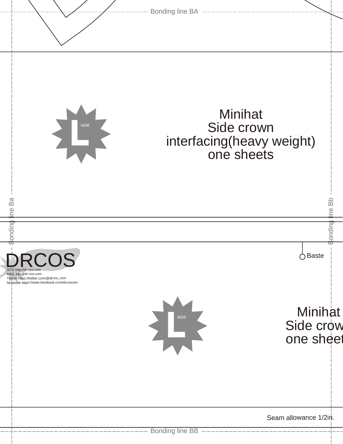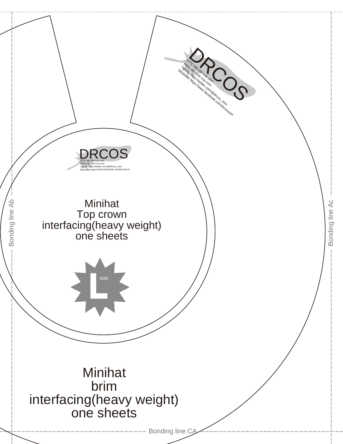